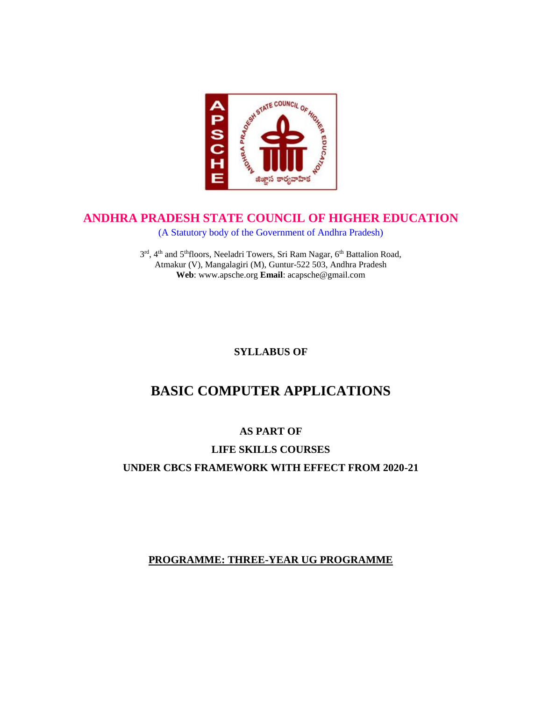

## **ANDHRA PRADESH STATE COUNCIL OF HIGHER EDUCATION**

(A Statutory body of the Government of Andhra Pradesh)

3rd, 4<sup>th</sup> and 5<sup>th</sup>floors, Neeladri Towers, Sri Ram Nagar, 6<sup>th</sup> Battalion Road, Atmakur (V), Mangalagiri (M), Guntur-522 503, Andhra Pradesh **Web**: www.apsche.org **Email**: acapsche@gmail.com

## **SYLLABUS OF**

# **BASIC COMPUTER APPLICATIONS**

## **AS PART OF**

# **LIFE SKILLS COURSES UNDER CBCS FRAMEWORK WITH EFFECT FROM 2020-21**

## **PROGRAMME: THREE-YEAR UG PROGRAMME**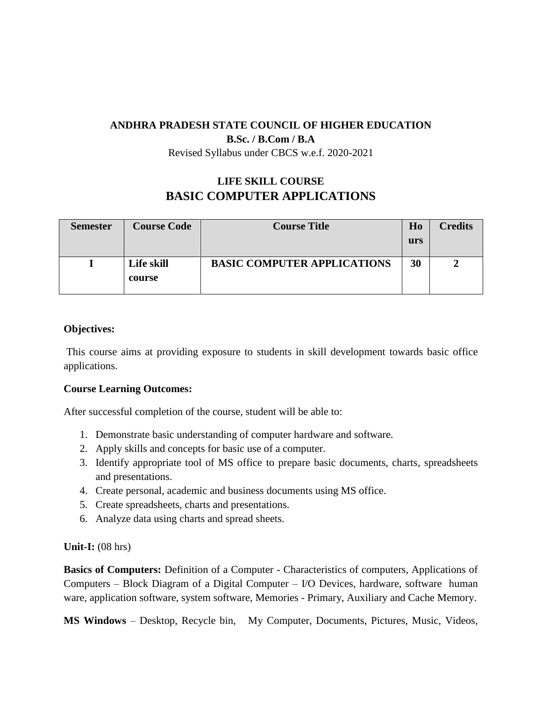## **ANDHRA PRADESH STATE COUNCIL OF HIGHER EDUCATION**

**B.Sc. / B.Com / B.A**

Revised Syllabus under CBCS w.e.f. 2020-2021

# **LIFE SKILL COURSE BASIC COMPUTER APPLICATIONS**

| <b>Semester</b> | <b>Course Code</b>   | <b>Course Title</b>                | H <sub>0</sub><br>urs | <b>Credits</b> |
|-----------------|----------------------|------------------------------------|-----------------------|----------------|
|                 | Life skill<br>course | <b>BASIC COMPUTER APPLICATIONS</b> | 30                    |                |

## **Objectives:**

This course aims at providing exposure to students in skill development towards basic office applications.

## **Course Learning Outcomes:**

After successful completion of the course, student will be able to:

- 1. Demonstrate basic understanding of computer hardware and software.
- 2. Apply skills and concepts for basic use of a computer.
- 3. Identify appropriate tool of MS office to prepare basic documents, charts, spreadsheets and presentations.
- 4. Create personal, academic and business documents using MS office.
- 5. Create spreadsheets, charts and presentations.
- 6. Analyze data using charts and spread sheets.

## **Unit-I:** (08 hrs)

**Basics of Computers:** Definition of a Computer - Characteristics of computers, Applications of Computers – Block Diagram of a Digital Computer – I/O Devices, hardware, software human ware, application software, system software, Memories - Primary, Auxiliary and Cache Memory.

**MS Windows** – Desktop, Recycle bin, My Computer, Documents, Pictures, Music, Videos,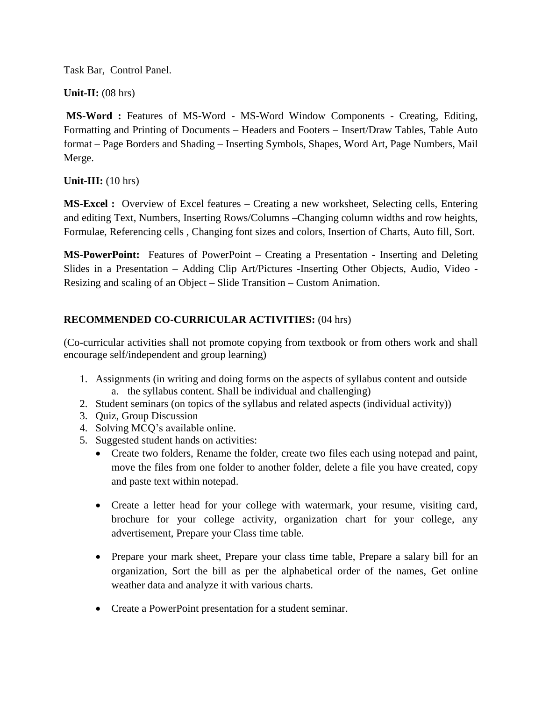Task Bar, Control Panel.

**Unit-II:** (08 hrs)

**MS-Word :** Features of MS-Word - MS-Word Window Components - Creating, Editing, Formatting and Printing of Documents – Headers and Footers – Insert/Draw Tables, Table Auto format – Page Borders and Shading – Inserting Symbols, Shapes, Word Art, Page Numbers, Mail Merge.

**Unit-III:** (10 hrs)

**MS-Excel :** Overview of Excel features – Creating a new worksheet, Selecting cells, Entering and editing Text, Numbers, Inserting Rows/Columns –Changing column widths and row heights, Formulae, Referencing cells , Changing font sizes and colors, Insertion of Charts, Auto fill, Sort.

**MS-PowerPoint:** Features of PowerPoint – Creating a Presentation - Inserting and Deleting Slides in a Presentation – Adding Clip Art/Pictures -Inserting Other Objects, Audio, Video - Resizing and scaling of an Object – Slide Transition – Custom Animation.

## **RECOMMENDED CO-CURRICULAR ACTIVITIES:** (04 hrs)

(Co-curricular activities shall not promote copying from textbook or from others work and shall encourage self/independent and group learning)

- 1. Assignments (in writing and doing forms on the aspects of syllabus content and outside a. the syllabus content. Shall be individual and challenging)
- 2. Student seminars (on topics of the syllabus and related aspects (individual activity))
- 3. Quiz, Group Discussion
- 4. Solving MCQ's available online.
- 5. Suggested student hands on activities:
	- Create two folders, Rename the folder, create two files each using notepad and paint, move the files from one folder to another folder, delete a file you have created, copy and paste text within notepad.
	- Create a letter head for your college with watermark, your resume, visiting card, brochure for your college activity, organization chart for your college, any advertisement, Prepare your Class time table.
	- Prepare your mark sheet, Prepare your class time table, Prepare a salary bill for an organization, Sort the bill as per the alphabetical order of the names, Get online weather data and analyze it with various charts.
	- Create a PowerPoint presentation for a student seminar.